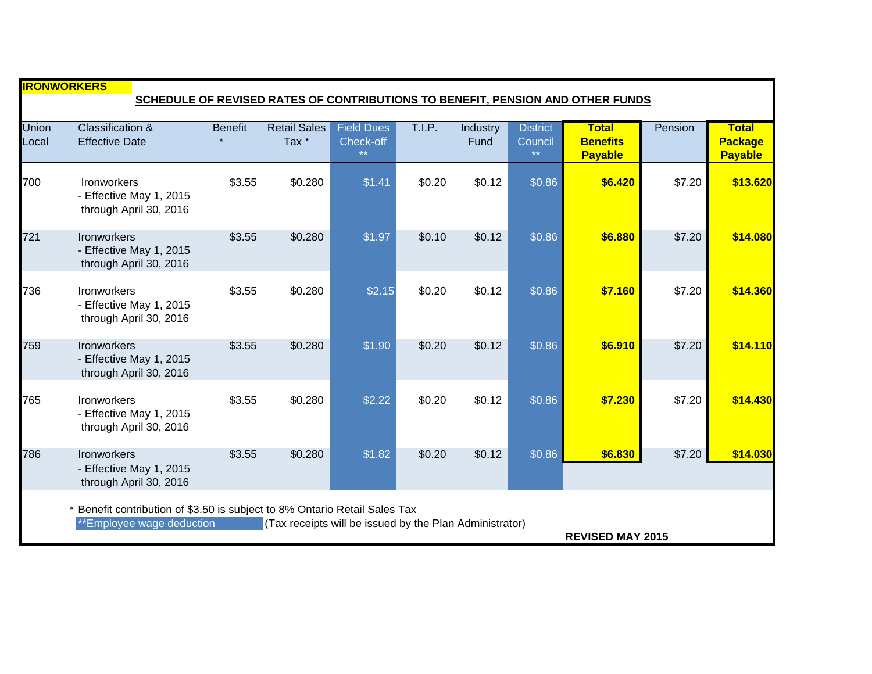| <b>IRONWORKERS</b><br>SCHEDULE OF REVISED RATES OF CONTRIBUTIONS TO BENEFIT, PENSION AND OTHER FUNDS                                                                                        |                                                                         |                |                                         |                                                |        |                  |                                            |                                                   |         |                                                  |
|---------------------------------------------------------------------------------------------------------------------------------------------------------------------------------------------|-------------------------------------------------------------------------|----------------|-----------------------------------------|------------------------------------------------|--------|------------------|--------------------------------------------|---------------------------------------------------|---------|--------------------------------------------------|
| <b>Union</b><br>Local                                                                                                                                                                       | <b>Classification &amp;</b><br><b>Effective Date</b>                    | <b>Benefit</b> | <b>Retail Sales</b><br>Tax <sup>*</sup> | <b>Field Dues</b><br>Check-off<br>$\star\star$ | T.I.P. | Industry<br>Fund | <b>District</b><br>Council<br>$\star\star$ | <b>Total</b><br><b>Benefits</b><br><b>Payable</b> | Pension | <b>Total</b><br><b>Package</b><br><b>Payable</b> |
| 700                                                                                                                                                                                         | <b>Ironworkers</b><br>- Effective May 1, 2015<br>through April 30, 2016 | \$3.55         | \$0.280                                 | \$1.41                                         | \$0.20 | \$0.12           | \$0.86                                     | \$6.420                                           | \$7.20  | \$13.620                                         |
| 721                                                                                                                                                                                         | Ironworkers<br>- Effective May 1, 2015<br>through April 30, 2016        | \$3.55         | \$0.280                                 | \$1.97                                         | \$0.10 | \$0.12           | \$0.86                                     | \$6.880                                           | \$7.20  | \$14.080                                         |
| 736                                                                                                                                                                                         | <b>Ironworkers</b><br>- Effective May 1, 2015<br>through April 30, 2016 | \$3.55         | \$0.280                                 | \$2.15                                         | \$0.20 | \$0.12           | \$0.86                                     | \$7.160                                           | \$7.20  | \$14.360                                         |
| 759                                                                                                                                                                                         | Ironworkers<br>- Effective May 1, 2015<br>through April 30, 2016        | \$3.55         | \$0.280                                 | \$1.90                                         | \$0.20 | \$0.12           | \$0.86                                     | \$6.910                                           | \$7.20  | \$14.110                                         |
| 765                                                                                                                                                                                         | Ironworkers<br>- Effective May 1, 2015<br>through April 30, 2016        | \$3.55         | \$0.280                                 | \$2.22                                         | \$0.20 | \$0.12           | \$0.86                                     | \$7.230                                           | \$7.20  | \$14.430                                         |
| 786                                                                                                                                                                                         | Ironworkers<br>- Effective May 1, 2015<br>through April 30, 2016        | \$3.55         | \$0.280                                 | \$1.82                                         | \$0.20 | \$0.12           | \$0.86                                     | \$6.830                                           | \$7.20  | \$14.030                                         |
| Benefit contribution of \$3.50 is subject to 8% Ontario Retail Sales Tax<br>(Tax receipts will be issued by the Plan Administrator)<br>**Employee wage deduction<br><b>REVISED MAY 2015</b> |                                                                         |                |                                         |                                                |        |                  |                                            |                                                   |         |                                                  |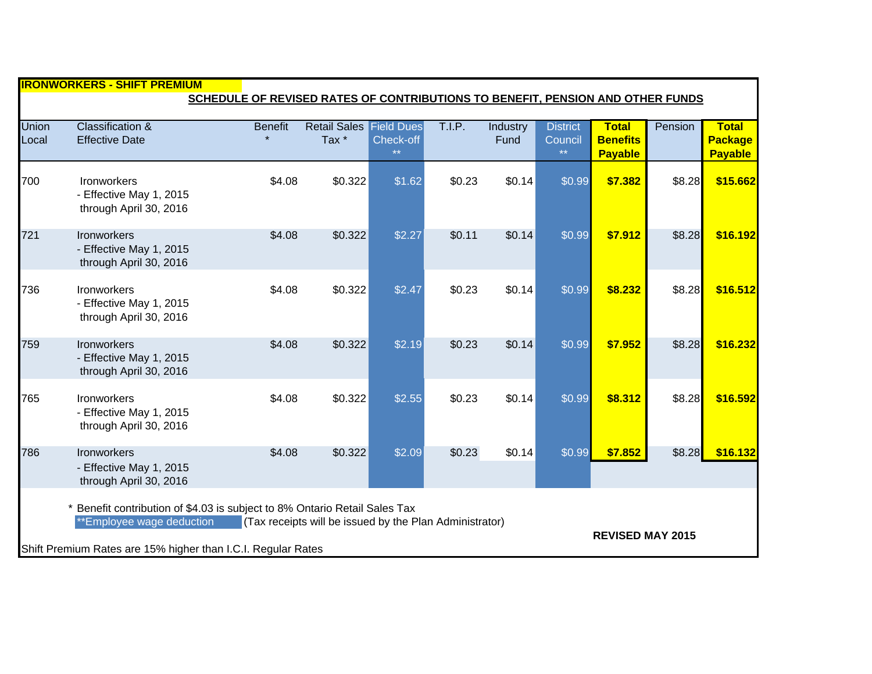| <u> IIRONWORKERS - SHIFT PREMIUM</u> |                                                                                                                                                                                                                                                             |                |                                                    |                           |        |                  |                                    |                                                   |         |                                                  |  |
|--------------------------------------|-------------------------------------------------------------------------------------------------------------------------------------------------------------------------------------------------------------------------------------------------------------|----------------|----------------------------------------------------|---------------------------|--------|------------------|------------------------------------|---------------------------------------------------|---------|--------------------------------------------------|--|
|                                      | SCHEDULE OF REVISED RATES OF CONTRIBUTIONS TO BENEFIT, PENSION AND OTHER FUNDS                                                                                                                                                                              |                |                                                    |                           |        |                  |                                    |                                                   |         |                                                  |  |
| Union<br>Local                       | <b>Classification &amp;</b><br><b>Effective Date</b>                                                                                                                                                                                                        | <b>Benefit</b> | <b>Retail Sales Field Dues</b><br>Tax <sup>*</sup> | Check-off<br>$\star\star$ | T.I.P. | Industry<br>Fund | <b>District</b><br>Council<br>$**$ | <b>Total</b><br><b>Benefits</b><br><b>Payable</b> | Pension | <b>Total</b><br><b>Package</b><br><b>Payable</b> |  |
| 700                                  | <b>Ironworkers</b><br>- Effective May 1, 2015<br>through April 30, 2016                                                                                                                                                                                     | \$4.08         | \$0.322                                            | \$1.62                    | \$0.23 | \$0.14           | \$0.99                             | \$7.382                                           | \$8.28  | \$15.662                                         |  |
| 721                                  | <b>Ironworkers</b><br>- Effective May 1, 2015<br>through April 30, 2016                                                                                                                                                                                     | \$4.08         | \$0.322                                            | \$2.27                    | \$0.11 | \$0.14           | \$0.99                             | \$7.912                                           | \$8.28  | \$16.192                                         |  |
| 736                                  | Ironworkers<br>- Effective May 1, 2015<br>through April 30, 2016                                                                                                                                                                                            | \$4.08         | \$0.322                                            | \$2.47                    | \$0.23 | \$0.14           | \$0.99                             | \$8.232                                           | \$8.28  | \$16.512                                         |  |
| 759                                  | <b>Ironworkers</b><br>- Effective May 1, 2015<br>through April 30, 2016                                                                                                                                                                                     | \$4.08         | \$0.322                                            | \$2.19                    | \$0.23 | \$0.14           | \$0.99                             | \$7.952                                           | \$8.28  | \$16.232                                         |  |
| 765                                  | <b>Ironworkers</b><br>- Effective May 1, 2015<br>through April 30, 2016                                                                                                                                                                                     | \$4.08         | \$0.322                                            | \$2.55                    | \$0.23 | \$0.14           | \$0.99                             | \$8.312                                           | \$8.28  | \$16.592                                         |  |
| 786                                  | Ironworkers<br>- Effective May 1, 2015<br>through April 30, 2016                                                                                                                                                                                            | \$4.08         | \$0.322                                            | \$2.09                    | \$0.23 | \$0.14           | \$0.99                             | \$7.852                                           | \$8.28  | \$16.132                                         |  |
|                                      | Benefit contribution of \$4.03 is subject to 8% Ontario Retail Sales Tax<br>**Employee wage deduction<br>(Tax receipts will be issued by the Plan Administrator)<br><b>REVISED MAY 2015</b><br>Shift Premium Rates are 15% higher than I.C.I. Regular Rates |                |                                                    |                           |        |                  |                                    |                                                   |         |                                                  |  |